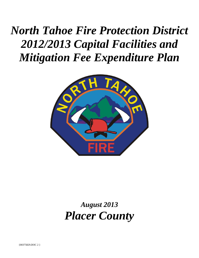# *North Tahoe Fire Protection District 2012/2013 Capital Facilities and Mitigation Fee Expenditure Plan*



## *August 2013 Placer County*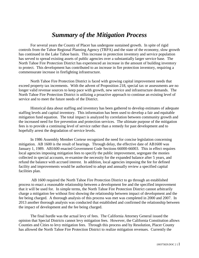### *Summary of the Mitigation Process*

For several years the County of Placer has undergone sustained growth. In spite of rigid controls from the Tahoe Regional Planning Agency (TRPA) and the state of the economy, slow growth has continued in the Lake Tahoe basin. This increase in protection inventory and service population has served to spread existing assets of public agencies over a substantially larger service base. The North Tahoe Fire Protection District has experienced an increase in the amount of building inventory to protect. This development has contributed to an increase in fire protection inventory, requiring a commensurate increase in firefighting infrastructure.

North Tahoe Fire Protection District is faced with growing capital improvement needs that exceed property tax increments. With the advent of Proposition 218, special tax or assessments are no longer valid revenue sources to keep pace with growth, new service and infrastructure demands. The North Tahoe Fire Protection District is utilizing a proactive approach to continue an existing level of service and to meet the future needs of the District.

Historical data about staffing and inventory has been gathered to develop estimates of adequate staffing levels and capital inventory. This information has been used to develop a fair and equitable mitigation fund equation. The total impact is analyzed by correlation between community growth and the increased need for fire prevention and protection services. The ultimate purpose of the mitigation fees is to provide a continuing level of service rather than a remedy for past development and to hopefully arrest the degradation of service levels.

In 1986 Assembly Member Cortese recognized the need for concise legislation concerning mitigation. AB 1600 is the result of hearings. Through delay, the effective date of AB1600 was January 1, 1989. AB1600 enacted Government Code Sections 66000-66003. This in effect requires local agencies imposing mitigation fees to specify the public improvement, segregate the monies collected in special accounts, re-examine the necessity for the expanded balance after 5 years, and refund the balance with accrued interest. In addition, local agencies imposing the fee for defined facility and improvements would be authorized to adopt and annually review a specified capital facilities plan.

AB 1600 required the North Tahoe Fire Protection District to go through an established process to enact a reasonable relationship between a development fee and the specified improvement that it will be used for. In simple terms, the North Tahoe Fire Protection District cannot arbitrarily charge a mitigation fee without first showing the relationship between impact of development and the fee being charged. A thorough analysis of this process was met was completed in 2000 and 2007. In 2013 another thorough analysis was conducted that established and confirmed the relationship between the impact of development and the fee being charged.

The final hurdle was the actual levy of fees. The California Attorney General issued the opinion that Special Districts cannot levy mitigation fees. However, the California Constitution allows Counties and Cities to levy mitigation fees. Through this process and by Resolution, Placer County has allowed the North Tahoe Fire Protection District to realize mitigation revenues. Currently the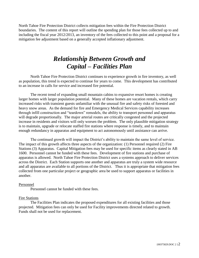North Tahoe Fire Protection District collects mitigation fees within the Fire Protection District boundaries. The content of this report will outline the spending plan for those fees collected up to and including the fiscal year 2012/2013, an inventory of the fees collected to this point and a proposal for a mitigation fee adjustment based on a generally accepted inflationary adjustment.

### *Relationship Between Growth and Capital – Facilities Plan*

North Tahoe Fire Protection District continues to experience growth in fire inventory, as well as population, this trend is expected to continue for years to come. This development has contributed to an increase in calls for service and increased fire potential.

The recent trend of expanding small mountain cabins to expansive resort homes is creating larger homes with larger population potential. Many of these homes are vacation rentals, which carry increased risks with transient guests unfamiliar with the unusual fire and safety risks of forested and heavy snow areas. As the demand for fire and Emergency Medical Services capability increases through infill construction and "teardown" remodels, the ability to transport personnel and apparatus will degrade proportionally. The major arterial routes are critically congested and the projected increase in residents and visitors will only worsen the problem. The only plausible mitigation strategy is to maintain, upgrade or relocate staffed fire stations where response is timely, and to maintain enough redundancy in apparatus and equipment to act autonomously until assistance can arrive.

The continued growth will impact the District's ability to maintain the same level of service. The impact of this growth affects three aspects of the organization: (1) Personnel required (2) Fire Stations (3) Apparatus. Capital Mitigation fees may be used for specific items as clearly stated in AB 1600. Personnel cannot be funded with these fees. Development of fire stations and purchase of apparatus is allowed. North Tahoe Fire Protection District uses a systems approach to deliver services across the District. Each Station supports one another and apparatus are truly a system wide resource and all apparatus are available to all portions of the District. Thus it is appropriate that mitigation fees collected from one particular project or geographic area be used to support apparatus or facilities in another.

#### Personnel

Personnel cannot be funded with these fees.

#### Fire Stations

The Facilities Plan indicates the proposed expenditures for all existing facilities and those projected. Mitigation fees can only be used for Facility improvements directed related to growth. Funds shall not be used for replacement.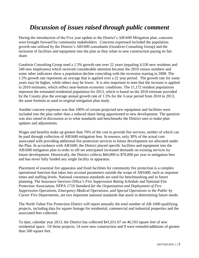### *Discussion of issues raised through public comment*

During the introduction of the Five year update to the District's AB1600 Mitigation plan, concerns were brought forward by community stakeholders. Concerns expressed included the population growth rate utilized by the District's AB1600 consultants (Goodwin Consulting Group) and the inclusion of facilities and equipment into the plan as they relate to new construction paying its fair share.

Goodwin Consulting Group used a 1.5% growth rate over 22 years (equaling 4,330 new residents and 540 new employees) which received considerable attention because the 2010 census numbers and some other indicators show a population decline coinciding with the recession starting in 2008. The 1.5% growth rate represents an average that is applied over a 22 year period. The growth rate for some years may be higher, while others may be lower. It is also important to note that the increase is applied to 2010 estimates, which reflect near-bottom economic conditions. The 11,172 resident populations represent the estimated residential population for 2013, which is based on the 2010 estimate provided by the County plus the average annual growth rate of 1.5% for the 3-year period from 2010 to 2013, the same formula as used in original mitigation plan study.

Another concern expresses was that 100% of certain projected new equipment and facilities were included into the plan rather than a reduced share being apportioned to new development. The question was also raised in discussion as to what standards and benchmarks the District uses to make plan updates and adjustments.

Wages and benefits make up greater than 70% of the cost to provide fire services, neither of which can be paid through collection of AB1600 mitigation fees. In essence, only 30% of the actual cost associated with providing additional fire protection services to future development are allocated under the Plan. In accordance with AB1600, the District placed specific facilities and equipment into the AB1600 mitigation plan in order to off-set anticipated increased demands on existing services by future development. Historically, the District collects \$60,000 to \$70,000 per year in mitigation fees and has never fully funded any single facility or apparatus.

Placement of essential fire apparatus and fixed facilities for community fire protection is a complex operational function that takes into account parameters outside the scope of AB1600, such as response times and staffing levels. National consensus standards are used for benchmarking and in future planning. The Insurance Services Office's *Fire Suppression Rating Schedule* and National Fire Protection Association, NFPA 1710 *Standard for the Organization and Deployment of Fire Suppression Operations, Emergency Medical Operations, and Special Operations to the Public by Career Fire Departments*, are two important national standards that assist in determining future needs.

The North Tahoe Fire Protection District will report annually the total number of AB-1600 qualifying projects, including data for square footage for residential, commercial and industrial properties and the associated fees collected.

To date, calendar year 2013, the District has collected \$41,031.67 on 46,103 square feet of new residential space. Of those projects; 14 were new construction and 9 were remodel/additions of greater than 500 square feet.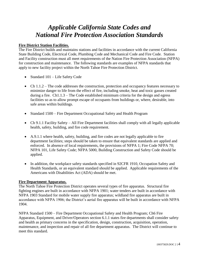### *Applicable California State Codes and National Fire Protection Association Standards*

#### **Fire District Station Facilities.**

The Fire District builds and maintains stations and facilities in accordance with the current California State Building Code, Electrical Code, Plumbing Code and Mechanical Code and Fire Code. Station and Facility construction must all meet requirements of the Nation Fire Protection Association (NFPA) for construction and maintenance. The following standards are examples of NFPA standards that apply to new facility project within the North Tahoe Fire Protection District.

- Standard 101 Life Safety Code
- Ch 1.1.2 The code addresses the construction, protection and occupancy features necessary to minimize danger to life from the effect of fire, including smoke, heat and toxic gasses created during a fire. Ch1.1.3 – The Code established minimum criteria for the design and egress facilities so as to allow prompt escape of occupants from buildings or, where, desirable, into safe areas within buildings.
- Standard 1500 Fire Department Occupational Safety and Health Program
- Ch 9.1.1 Facility Safety All Fire Department facilities shall comply with all legally applicable health, safety, building, and fire code requirement.
- A.9.1.1 where health, safety, building, and fire codes are not legally applicable to fire department facilities; steps should be taken to ensure that equivalent standards are applied and enforced. In absence of local requirements, the provisions of NFPA 1; Fire Code NFPA 70; NFPA 101, Life Safety Code; NFPA 5000, Building Construction and Safety Code should be applied.
- In addition, the workplace safety standards specified in 92CFR 1910, Occupation Safety and Health Standards, or an equivalent standard should be applied. Applicable requirements of the Americans with Disabilities Act (ADA) should be met.

#### **Fire Department Apparatus.**

The North Tahoe Fire Protection District operates several types of fire apparatus. Structural fire fighting engines are built in accordance with NFPA 1901; water tenders are built in accordance with NFPA 1903 Standard for mobile water supply fire apparatus; wildland fire apparatus are built in accordance with NFPA 1906; the District's aerial fire apparatus will be built in accordance with NFPA 1904.

NFPA Standard 1500 – Fire Department Occupational Safety and Health Program; Ch6 Fire Apparatus, Equipment, and Driver/Operators section 6.1.1 states fire departments shall consider safety and health as primary concerns in the specification, design, construction, acquisition, operation, maintenance, and inspection and repair of all fire department apparatus. The District will continue to meet this standard.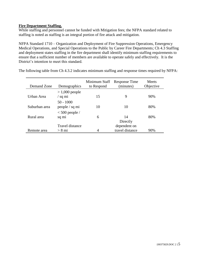#### **Fire Department Staffing.**

While staffing and personnel cannot be funded with Mitigation fees; the NFPA standard related to staffing is noted as staffing is an integral portion of fire attack and mitigation.

NFPA Standard 1710 – Organization and Deployment of Fire Suppression Operations, Emergency Medical Operations, and Special Operations to the Public by Career Fire Departments; Ch 4.3 Staffing and deployment states staffing in the fire department shall identify minimum staffing requirements to ensure that a sufficient number of members are available to operate safely and effectively. It is the District's intention to meet this standard.

| Demand Zone   | Demographics                  | Minimum Staff<br>to Respond | Response Time<br>(minutes)      | Meets<br>Objective |
|---------------|-------------------------------|-----------------------------|---------------------------------|--------------------|
| Urban Area    | $>1,000$ people<br>/ sq mi    | 15                          | 9                               | 90%                |
| Suburban area | $50 - 1000$<br>people / sq mi | 10                          | 10                              | 80%                |
| Rural area    | $< 500$ people /<br>sq mi     | 6                           | 14<br>Directly                  | 80%                |
| Remote area   | Travel distance<br>$> 8$ mi   | 4                           | dependent on<br>travel distance | 90%                |

The following table from Ch 4.3.2 indicates minimum staffing and response times required by NFPA: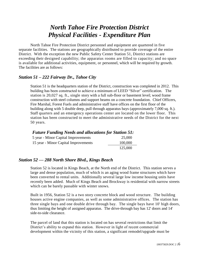### *North Tahoe Fire Protection District Physical Facilities - Expenditure Plan*

North Tahoe Fire Protection District personnel and equipment are quartered in five separate facilities. The stations are geographically distributed to provide coverage of the entire District. With the exception the new Public Safety Center Station 51, District stations are exceeding their designed capability; the apparatus rooms are filled to capacity; and no space is available for additional activities, equipment, or personnel, which will be required by growth. The facilities are as follows:

#### *Station 51 – 222 Fairway Dr., Tahoe City*

Station 51 is the headquarters station of the District, construction was completed in 2012. This building has been constructed to achieve a minimum of LEED "Silver" certification. The station is 20,027 sq. ft., single story with a full sub-floor or basement level; wood frame construction with steel columns and support beams on a concrete foundation. Chief Officers, Fire Marshal, Forest Fuels and administrative staff have offices on the first floor of the building along with 5 double deep, pull through apparatus bays (approximately 7,000 sq. ft.). Staff quarters and an emergency operations center are located on the lower floor. This station has been constructed to meet the administrative needs of the District for the next 50 years.

#### *Future Funding Needs and allocations for Station 51:*

| 5 year - Minor Capital Improvements  | 25,000  |  |  |
|--------------------------------------|---------|--|--|
| 15 year - Minor Capital Improvements | 100,000 |  |  |
|                                      | 125,000 |  |  |

#### *Station 52 — 288 North Shore Blvd., Kings Beach*

Station 52 is located in Kings Beach, at the North end of the District. This station serves a large and dense population, much of which is an aging wood frame structures which have been converted to rental units. Additionally several large low income housing units have recently been added. Much of Kings Beach and Brockway is residential with narrow streets which can be barely passable with winter snows.

Built in 1956, Station 52 is a two story concrete block and wood structure. The building houses active engine companies, as well as some administrative offices. The station has three single bays and one double drive through bay. The single bays have 10' high doors, thus limiting the height of assigned apparatus. The drive-through bay has 12' doors and 14' side-to-side clearance.

The parcel of land that this station is located on has several restrictions that limit the District's ability to expand this station. However in light of recent commercial development within the vicinity of this station, a significant remodel/upgrade must be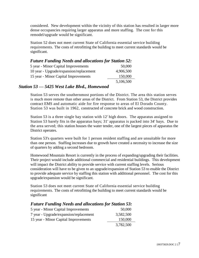considered. New development within the vicinity of this station has resulted in larger more dense occupancies requiring larger apparatus and more staffing. The cost for this remodel/upgrade would be significant.

Station 52 does not meet current State of California essential service building requirements. The costs of retrofitting the building to meet current standards would be significant.

#### *Future Funding Needs and allocations for Station 52:* 5 year - Minor Capital Improvements 50,000 10 year - Upgrade/expansion/replacement 4,906,500 15 year - Minor Capital Improvements 150,000 5,106,500

#### *Station 53 — 5425 West Lake Blvd., Homewood*

Station 53 serves the southernmost portions of the District. The area this station serves is much more remote than other areas of the District. From Station 53, the District provides contract EMS and automatic aide for fire response to areas of El Dorado County. Station 53 was built in 1962, constructed of concrete brick and wood construction.

Station 53 is a three single bay station with 12' high doors. The apparatus assigned to Station 53 barely fits in the apparatus bays; 31' apparatus is packed into 34' bays. Due to the area served; this station houses the water tender, one of the largest pieces of apparatus the District operates.

Station 53's quarters were built for 1 person resident staffing and are unsuitable for more than one person. Staffing increases due to growth have created a necessity to increase the size of quarters by adding a second bedroom.

Homewood Mountain Resort is currently in the process of expanding/upgrading their facilities. Their project would include additional commercial and residential buildings. This development will impact the District ability to provide service with current staffing levels. Serious consideration will have to be given to an upgrade/expansion of Station 53 to enable the District to provide adequate service by staffing this station with additional personnel. The cost for this upgrade/expansion would be significant.

Station 53 does not meet current State of California essential service building requirements. The costs of retrofitting the building to meet current standards would be significant

#### *Future Funding Needs and allocations for Station 53:*

| 5 year - Minor Capital Improvements    | 50,000    |
|----------------------------------------|-----------|
| 7 year - Upgrade/expansion/replacement | 3,582,500 |
| 15 year - Minor Capital Improvements   | 150,000   |
|                                        | 3,782,500 |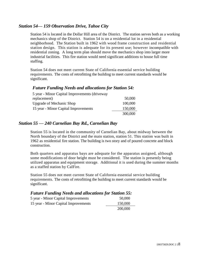#### *Station 54— 159 Observation Drive, Tahoe City*

Station 54 is located in the Dollar Hill area of the District. The station serves both as a working mechanics shop of the District. Station 54 is on a residential lot in a residential neighborhood. The Station built in 1962 with wood frame construction and residential station design. This station is adequate for its present use; however incompatible with residential zoning. A long term plan should move the mechanics shop into larger more industrial facilities. This fire station would need significant additions to house full time staffing.

Station 54 does not meet current State of California essential service building requirements. The costs of retrofitting the building to meet current standards would be significant.

#### *Future Funding Needs and allocations for Station 54:*

| 5 year - Minor Capital Improvements (driveway |         |
|-----------------------------------------------|---------|
| replacement)                                  | 50,000  |
| <b>Upgrade of Mechanic Shop</b>               | 100,000 |
| 15 year - Minor Capital Improvements          | 150,000 |
|                                               | 300,000 |

#### *Station 55 — 240 Carnelian Bay Rd., Carnelian Bay*

Station 55 is located in the community of Carnelian Bay, about midway between the North boundary of the District and the main station, station 51. This station was built in 1962 as residential fire station. The building is two story and of poured concrete and block construction.

Both quarters and apparatus bays are adequate for the apparatus assigned, although some modifications of door height must be considered. The station is presently being utilized apparatus and equipment storage. Additional it is used during the summer months as a staffed station by CalFire.

Station 55 does not meet current State of California essential service building requirements. The costs of retrofitting the building to meet current standards would be significant.

#### *Future Funding Needs and allocations for Station 55:*

| 5 year - Minor Capital Improvements  | 50,000  |
|--------------------------------------|---------|
| 15 year - Minor Capital Improvements | 150,000 |
|                                      | 200,000 |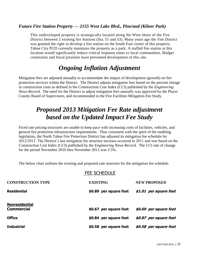#### *Future Fire Station Property — 2155 West Lake Blvd., Pine/and (Kilner Park)*

This undeveloped property is strategically located along the West shore of the Fire District between 2 existing fire Stations (Sta. 51 and 53). Many years ago the Fire District was granted the right to develop a fire station on the South East corner of this property. Tahoe City PUD currently maintains the property as a park. A staffed fire station at this location would significantly reduce critical response times to local communities. Budget constraints and fiscal priorities have prevented development of this site.

### *Ongoing Inflation Adjustment*

Mitigation fees are adjusted annually to accommodate the impact of development (growth) on fire protection services within the District. The District adjusts mitigation fees based on the percent change in construction costs as defined in the Construction Cost Index (CCI) published by the *Engineering News-Record.* The need for the District to adjust mitigation fees annually was approved by the Placer County Board of Supervisors, and recommended in the Fire Facilities Mitigation Fee Study.

### *Proposed 2013 Mitigation Fee Rate adjustment based on the Updated Impact Fee Study*

Fixed rate pricing structures are unable to keep pace with increasing costs of facilities, vehicles, and general fire protection infrastructure requirements. Thus consistent with the spirit of the enabling legislation, the North Tahoe Fire Protection District has adjusted its mitigation fee schedule for 2012/2013. The District's last mitigation fee structure increase occurred in 2011 and was based on the Construction Cost Index (CCI) published by the *Engineering News-Record.* The CCI rate of change for the period November 2010 thru November 2011 was 2.5%.

The below chart outlines the existing and proposed rate structure for the mitigation fee schedule.

#### FEE SCHEDULE

| <b>CONSTRUCTION TYPE</b>                   | <b>EXISTING</b>        | <b>NEW PROPOSED</b>    |
|--------------------------------------------|------------------------|------------------------|
| <b>Residential</b>                         | \$0.89 per square foot | \$1.01 per square foot |
| <b>Nonresidential</b><br><b>Commercial</b> | \$0.67 per square foot | \$0.69 per square foot |
| <b>Office</b>                              | \$0.84 per square foot | \$0.87 per square foot |
| <b>Industrial</b>                          | \$0.58 per square foot | \$0.58 per square foot |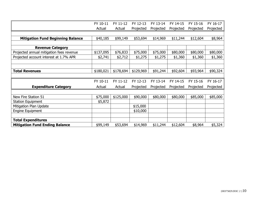|                                          | FY 10-11  | FY 11-12  | FY 12-13  | FY 13-14  | FY 14-15  | FY 15-16  | FY 16-17  |
|------------------------------------------|-----------|-----------|-----------|-----------|-----------|-----------|-----------|
|                                          | Actual    | Actual    | Projected | Projected | Projected | Projected | Projected |
|                                          |           |           |           |           |           |           |           |
| <b>Mitigation Fund Beginning Balance</b> | \$40,185  | \$99,149  | \$53,694  | \$14,969  | \$11,244  | \$12,604  | \$8,964   |
|                                          |           |           |           |           |           |           |           |
| <b>Revenue Category</b>                  |           |           |           |           |           |           |           |
| Projected annual mitigation fees revenue | \$137,095 | \$76,833  | \$75,000  | \$75,000  | \$80,000  | \$80,000  | \$80,000  |
| Projected account interest at 1.7% APR   | \$2,741   | \$2,712   | \$1,275   | \$1,275   | \$1,360   | \$1,360   | \$1,360   |
|                                          |           |           |           |           |           |           |           |
|                                          |           |           |           |           |           |           |           |
| <b>Total Revenues</b>                    | \$180,021 | \$178,694 | \$129,969 | \$91,244  | \$92,604  | \$93,964  | \$90,324  |
|                                          |           |           |           |           |           |           |           |
|                                          | FY 10-11  | FY 11-12  | FY 12-13  | FY 13-14  | FY 14-15  | FY 15-16  | FY 16-17  |
| <b>Expenditure Category</b>              | Actual    | Actual    | Projected | Projected | Projected | Projected | Projected |
|                                          |           |           |           |           |           |           |           |
| New Fire Station 51                      | \$75,000  | \$125,000 | \$90,000  | \$80,000  | \$80,000  | \$85,000  | \$85,000  |
| <b>Station Equipment</b>                 | \$5,872   |           |           |           |           |           |           |
| Mitigation Plan Update                   |           |           | \$15,000  |           |           |           |           |
| <b>Engine Equipment</b>                  |           |           | \$10,000  |           |           |           |           |
|                                          |           |           |           |           |           |           |           |
| <b>Total Expenditures</b>                |           |           |           |           |           |           |           |
| <b>Mitigation Fund Ending Balance</b>    | \$99,149  | \$53,694  | \$14,969  | \$11,244  | \$12,604  | \$8,964   | \$5,324   |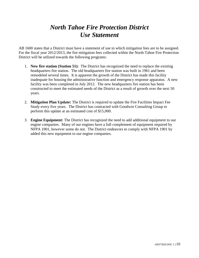### *North Tahoe Fire Protection District Use Statement*

AB 1600 states that a District must have a statement of use to which mitigation fees are to be assigned. For the fiscal year 2012/2013, the fire mitigation fees collected within the North Tahoe Fire Protection District will be utilized towards the following programs:

- 1. **New fire station (Station 51):** The District has recognized the need to replace the existing headquarters fire station. The old headquarters fire station was built in 1961 and been remodeled several times. It is apparent the growth of the District has made this facility inadequate for housing the administrative function and emergency response apparatus. A new facility was been completed in July 2012. The new headquarters fire station has been constructed to meet the estimated needs of the District as a result of growth over the next 50 years.
- 2. **Mitigation Plan Update:** The District is required to update the Fire Facilities Impact Fee Study every five years. The District has contracted with Goodwin Consulting Group to perform this update at an estimated cost of \$15,000.
- 3. **Engine Equipment:** The District has recognized the need to add additional equipment to our engine companies. Many of our engines have a full complement of equipment required by NFPA 1901, however some do not. The District endeavors to comply with NFPA 1901 by added this new equipment to our engine companies.